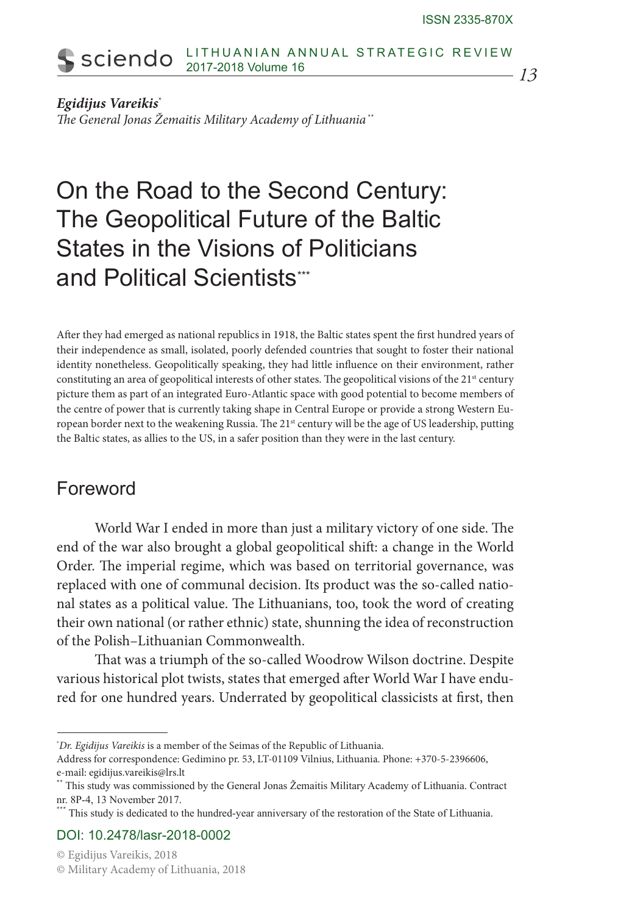#### LITHUANIAN ANNUAL STRATEGIC REVIEW sciendo 2017-2018 Volume 16

*13*

#### *Egidijus Vareikis*\*

*The General Jonas Žemaitis Military Academy of Lithuania* \*\*

# On the Road to the Second Century: The Geopolitical Future of the Baltic States in the Visions of Politicians and Political Scientists\*\*\*

After they had emerged as national republics in 1918, the Baltic states spent the first hundred years of their independence as small, isolated, poorly defended countries that sought to foster their national identity nonetheless. Geopolitically speaking, they had little influence on their environment, rather constituting an area of geopolitical interests of other states. The geopolitical visions of the 21<sup>st</sup> century picture them as part of an integrated Euro-Atlantic space with good potential to become members of the centre of power that is currently taking shape in Central Europe or provide a strong Western European border next to the weakening Russia. The 21<sup>st</sup> century will be the age of US leadership, putting the Baltic states, as allies to the US, in a safer position than they were in the last century.

#### Foreword

World War I ended in more than just a military victory of one side. The end of the war also brought a global geopolitical shift: a change in the World Order. The imperial regime, which was based on territorial governance, was replaced with one of communal decision. Its product was the so-called national states as a political value. The Lithuanians, too, took the word of creating their own national (or rather ethnic) state, shunning the idea of reconstruction of the Polish–Lithuanian Commonwealth.

That was a triumph of the so-called Woodrow Wilson doctrine. Despite various historical plot twists, states that emerged after World War I have endured for one hundred years. Underrated by geopolitical classicists at first, then

<sup>\*</sup> *Dr. Egidijus Vareikis* is a member of the Seimas of the Republic of Lithuania.

Address for correspondence: Gedimino pr. 53, LT-01109 Vilnius, Lithuania. Phone: +370-5-2396606, e-mail: egidijus.vareikis@lrs.lt

<sup>\*\*</sup> This study was commissioned by the General Jonas Žemaitis Military Academy of Lithuania. Contract nr. 8P-4, 13 November 2017.

<sup>\*\*</sup> This study is dedicated to the hundred-year anniversary of the restoration of the State of Lithuania.

DOI: 10.2478/lasr-2018-0002

<sup>©</sup> Egidijus Vareikis, 2018

<sup>©</sup> Military Academy of Lithuania, 2018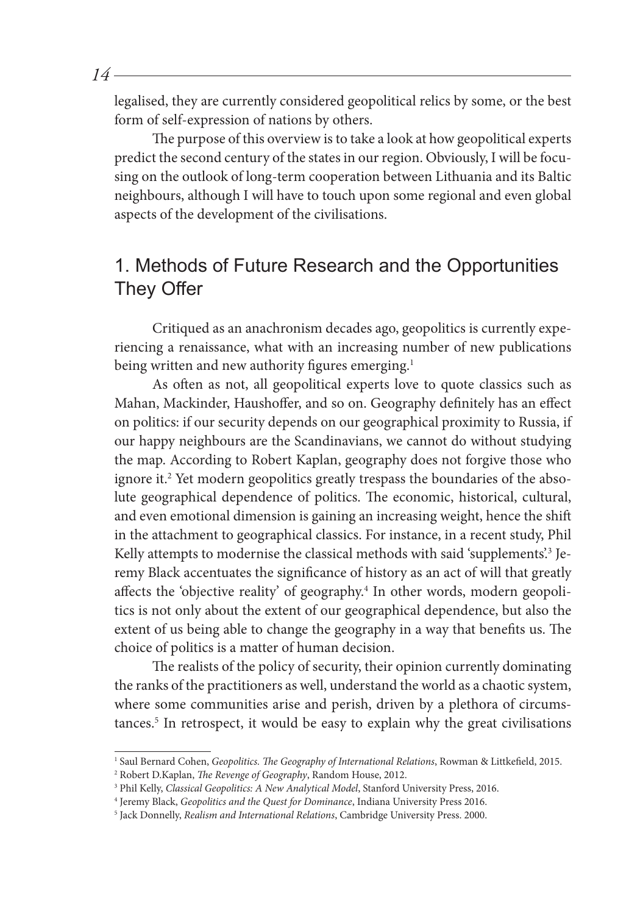legalised, they are currently considered geopolitical relics by some, or the best form of self-expression of nations by others.

The purpose of this overview is to take a look at how geopolitical experts predict the second century of the states in our region. Obviously, I will be focusing on the outlook of long-term cooperation between Lithuania and its Baltic neighbours, although I will have to touch upon some regional and even global aspects of the development of the civilisations.

## 1. Methods of Future Research and the Opportunities They Offer

Critiqued as an anachronism decades ago, geopolitics is currently experiencing a renaissance, what with an increasing number of new publications being written and new authority figures emerging.<sup>1</sup>

As often as not, all geopolitical experts love to quote classics such as Mahan, Mackinder, Haushoffer, and so on. Geography definitely has an effect on politics: if our security depends on our geographical proximity to Russia, if our happy neighbours are the Scandinavians, we cannot do without studying the map. According to Robert Kaplan, geography does not forgive those who ignore it.2 Yet modern geopolitics greatly trespass the boundaries of the absolute geographical dependence of politics. The economic, historical, cultural, and even emotional dimension is gaining an increasing weight, hence the shift in the attachment to geographical classics. For instance, in a recent study, Phil Kelly attempts to modernise the classical methods with said 'supplements'.<sup>3</sup> Jeremy Black accentuates the significance of history as an act of will that greatly affects the 'objective reality' of geography.<sup>4</sup> In other words, modern geopolitics is not only about the extent of our geographical dependence, but also the extent of us being able to change the geography in a way that benefits us. The choice of politics is a matter of human decision.

The realists of the policy of security, their opinion currently dominating the ranks of the practitioners as well, understand the world as a chaotic system, where some communities arise and perish, driven by a plethora of circumstances.5 In retrospect, it would be easy to explain why the great civilisations

<sup>1</sup> Saul Bernard Cohen, *Geopolitics. The Geography of International Relations*, Rowman & Littkefield, 2015.

<sup>2</sup> Robert D.Kaplan, *The Revenge of Geography*, Random House, 2012.

<sup>3</sup> Phil Kelly, *Classical Geopolitics: A New Analytical Model*, Stanford University Press, 2016.

<sup>4</sup> Jeremy Black, *Geopolitics and the Quest for Dominance*, Indiana University Press 2016.

<sup>5</sup> Jack Donnelly, *Realism and International Relations*, Cambridge University Press. 2000.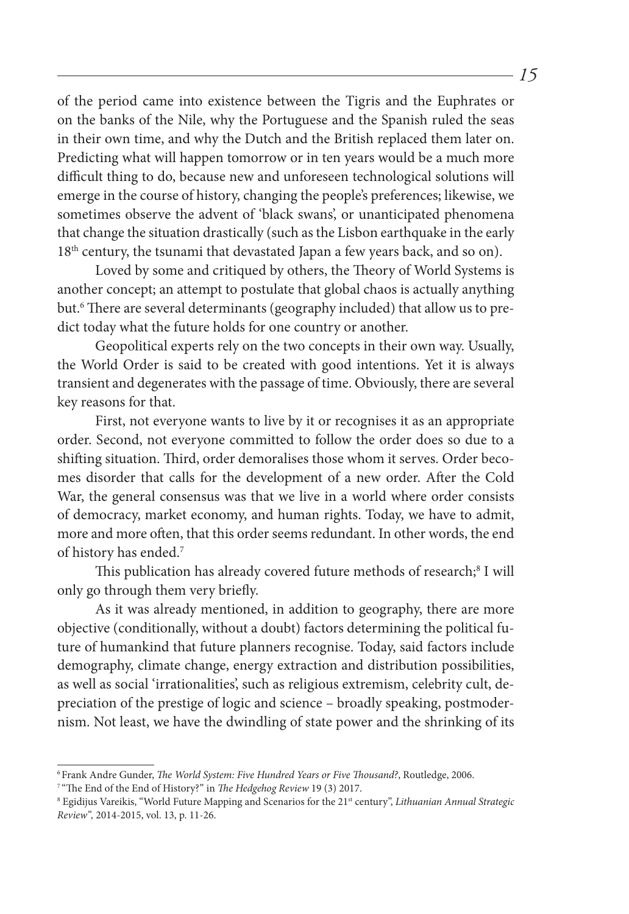of the period came into existence between the Tigris and the Euphrates or on the banks of the Nile, why the Portuguese and the Spanish ruled the seas in their own time, and why the Dutch and the British replaced them later on. Predicting what will happen tomorrow or in ten years would be a much more difficult thing to do, because new and unforeseen technological solutions will emerge in the course of history, changing the people's preferences; likewise, we sometimes observe the advent of 'black swans', or unanticipated phenomena that change the situation drastically (such as the Lisbon earthquake in the early 18<sup>th</sup> century, the tsunami that devastated Japan a few years back, and so on).

Loved by some and critiqued by others, the Theory of World Systems is another concept; an attempt to postulate that global chaos is actually anything but.6 There are several determinants (geography included) that allow us to predict today what the future holds for one country or another.

Geopolitical experts rely on the two concepts in their own way. Usually, the World Order is said to be created with good intentions. Yet it is always transient and degenerates with the passage of time. Obviously, there are several key reasons for that.

First, not everyone wants to live by it or recognises it as an appropriate order. Second, not everyone committed to follow the order does so due to a shifting situation. Third, order demoralises those whom it serves. Order becomes disorder that calls for the development of a new order. After the Cold War, the general consensus was that we live in a world where order consists of democracy, market economy, and human rights. Today, we have to admit, more and more often, that this order seems redundant. In other words, the end of history has ended.7

This publication has already covered future methods of research;<sup>8</sup> I will only go through them very briefly.

As it was already mentioned, in addition to geography, there are more objective (conditionally, without a doubt) factors determining the political future of humankind that future planners recognise. Today, said factors include demography, climate change, energy extraction and distribution possibilities, as well as social 'irrationalities', such as religious extremism, celebrity cult, depreciation of the prestige of logic and science – broadly speaking, postmodernism. Not least, we have the dwindling of state power and the shrinking of its

<sup>6</sup> Frank Andre Gunder, *The World System: Five Hundred Years or Five Thousand?*, Routledge, 2006.

<sup>7</sup> "The End of the End of History?" in *The Hedgehog Review* 19 (3) 2017.

<sup>8</sup> Egidijus Vareikis, "World Future Mapping and Scenarios for the 21st century", *Lithuanian Annual Strategic Review",* 2014-2015, vol. 13, p. 11-26.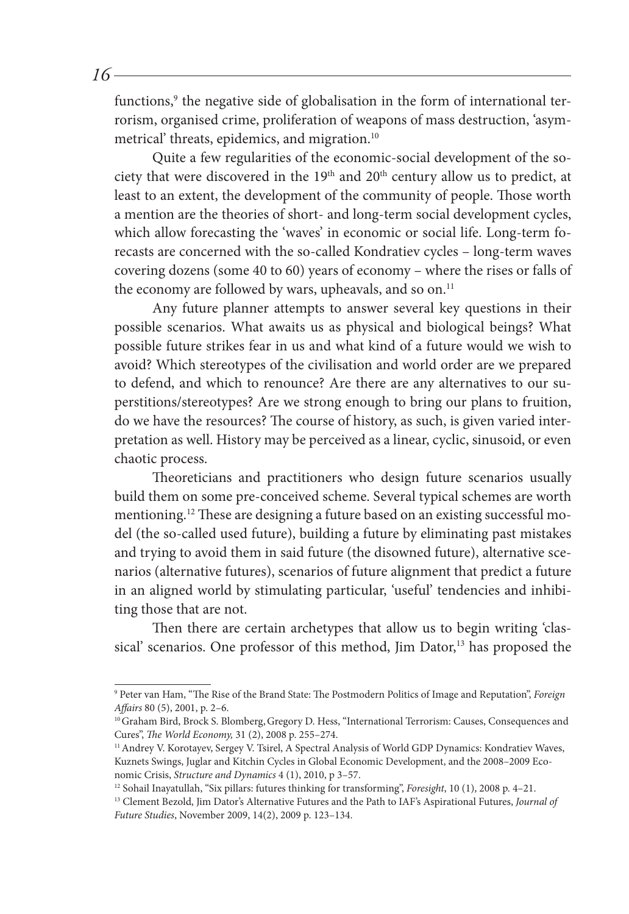functions,<sup>9</sup> the negative side of globalisation in the form of international terrorism, organised crime, proliferation of weapons of mass destruction, 'asymmetrical' threats, epidemics, and migration.10

Quite a few regularities of the economic-social development of the society that were discovered in the 19<sup>th</sup> and 20<sup>th</sup> century allow us to predict, at least to an extent, the development of the community of people. Those worth a mention are the theories of short- and long-term social development cycles, which allow forecasting the 'waves' in economic or social life. Long-term forecasts are concerned with the so-called Kondratiev cycles – long-term waves covering dozens (some 40 to 60) years of economy – where the rises or falls of the economy are followed by wars, upheavals, and so on.<sup>11</sup>

Any future planner attempts to answer several key questions in their possible scenarios. What awaits us as physical and biological beings? What possible future strikes fear in us and what kind of a future would we wish to avoid? Which stereotypes of the civilisation and world order are we prepared to defend, and which to renounce? Are there are any alternatives to our superstitions/stereotypes? Are we strong enough to bring our plans to fruition, do we have the resources? The course of history, as such, is given varied interpretation as well. History may be perceived as a linear, cyclic, sinusoid, or even chaotic process.

Theoreticians and practitioners who design future scenarios usually build them on some pre-conceived scheme. Several typical schemes are worth mentioning.<sup>12</sup> These are designing a future based on an existing successful model (the so-called used future), building a future by eliminating past mistakes and trying to avoid them in said future (the disowned future), alternative scenarios (alternative futures), scenarios of future alignment that predict a future in an aligned world by stimulating particular, 'useful' tendencies and inhibiting those that are not.

Then there are certain archetypes that allow us to begin writing 'classical' scenarios. One professor of this method, Jim Dator,<sup>13</sup> has proposed the

<sup>9</sup> Peter van Ham, "The Rise of the Brand State: The Postmodern Politics of Image and Reputation", *Foreign Affairs* 80 (5), 2001, p. 2–6.

<sup>&</sup>lt;sup>10</sup> Graham Bird, Brock S. Blomberg, Gregory D. Hess, "International Terrorism: Causes, Consequences and Cures", *The World Economy,* 31 (2), 2008 p. 255–274.

<sup>&</sup>lt;sup>11</sup> Andrey V. Korotayev, Sergey V. Tsirel, A Spectral Analysis of World GDP Dynamics: Kondratiev Waves, Kuznets Swings, Juglar and Kitchin Cycles in Global Economic Development, and the 2008–2009 Economic Crisis, *Structure and Dynamics* 4 (1), 2010, p 3–57.

<sup>12</sup> Sohail Inayatullah, "Six pillars: futures thinking for transforming", *Foresight*, 10 (1), 2008 p. 4–21.

<sup>13</sup> Clement Bezold, Jim Dator's Alternative Futures and the Path to IAF's Aspirational Futures, *Journal of Future Studies*, November 2009, 14(2), 2009 p. 123–134.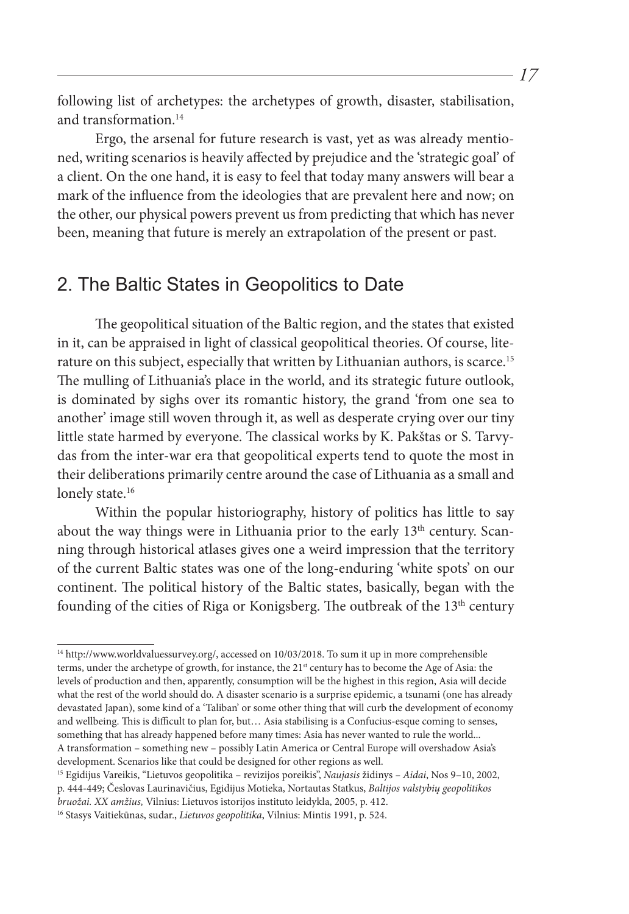following list of archetypes: the archetypes of growth, disaster, stabilisation, and transformation.<sup>14</sup>

Ergo, the arsenal for future research is vast, yet as was already mentioned, writing scenarios is heavily affected by prejudice and the 'strategic goal' of a client. On the one hand, it is easy to feel that today many answers will bear a mark of the influence from the ideologies that are prevalent here and now; on the other, our physical powers prevent us from predicting that which has never been, meaning that future is merely an extrapolation of the present or past.

#### 2. The Baltic States in Geopolitics to Date

The geopolitical situation of the Baltic region, and the states that existed in it, can be appraised in light of classical geopolitical theories. Of course, literature on this subject, especially that written by Lithuanian authors, is scarce.<sup>15</sup> The mulling of Lithuania's place in the world, and its strategic future outlook, is dominated by sighs over its romantic history, the grand 'from one sea to another' image still woven through it, as well as desperate crying over our tiny little state harmed by everyone. The classical works by K. Pakštas or S. Tarvydas from the inter-war era that geopolitical experts tend to quote the most in their deliberations primarily centre around the case of Lithuania as a small and lonely state.<sup>16</sup>

Within the popular historiography, history of politics has little to say about the way things were in Lithuania prior to the early 13<sup>th</sup> century. Scanning through historical atlases gives one a weird impression that the territory of the current Baltic states was one of the long-enduring 'white spots' on our continent. The political history of the Baltic states, basically, began with the founding of the cities of Riga or Konigsberg. The outbreak of the 13<sup>th</sup> century

15 Egidijus Vareikis, "Lietuvos geopolitika – revizijos poreikis", *Naujasis* židinys *– Aidai*, Nos 9–10, 2002, p. 444-449; Česlovas Laurinavičius, Egidijus Motieka, Nortautas Statkus, *Baltijos valstybių geopolitikos* 

<sup>14</sup> http://www.worldvaluessurvey.org/, accessed on 10/03/2018. To sum it up in more comprehensible terms, under the archetype of growth, for instance, the 21<sup>st</sup> century has to become the Age of Asia: the levels of production and then, apparently, consumption will be the highest in this region, Asia will decide what the rest of the world should do. A disaster scenario is a surprise epidemic, a tsunami (one has already devastated Japan), some kind of a 'Taliban' or some other thing that will curb the development of economy and wellbeing. This is difficult to plan for, but… Asia stabilising is a Confucius-esque coming to senses, something that has already happened before many times: Asia has never wanted to rule the world... A transformation – something new – possibly Latin America or Central Europe will overshadow Asia's development. Scenarios like that could be designed for other regions as well.

*bruožai. XX amžius,* Vilnius: Lietuvos istorijos instituto leidykla, 2005, p. 412.

<sup>16</sup> Stasys Vaitiekūnas, sudar., *Lietuvos geopolitika*, Vilnius: Mintis 1991, p. 524.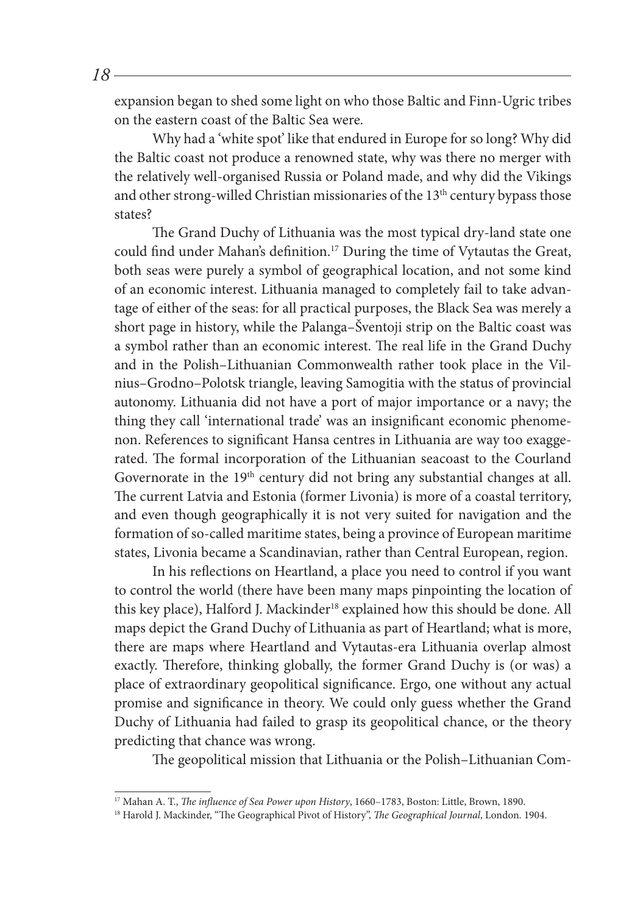expansion began to shed some light on who those Baltic and Finn-Ugric tribes on the eastern coast of the Baltic Sea were.

Why had a 'white spot' like that endured in Europe for so long? Why did the Baltic coast not produce a renowned state, why was there no merger with the relatively well-organised Russia or Poland made, and why did the Vikings and other strong-willed Christian missionaries of the 13<sup>th</sup> century bypass those states?

The Grand Duchy of Lithuania was the most typical dry-land state one could find under Mahan's definition.<sup>17</sup> During the time of Vytautas the Great, both seas were purely a symbol of geographical location, and not some kind of an economic interest. Lithuania managed to completely fail to take advantage of either of the seas: for all practical purposes, the Black Sea was merely a short page in history, while the Palanga–Šventoji strip on the Baltic coast was a symbol rather than an economic interest. The real life in the Grand Duchy and in the Polish–Lithuanian Commonwealth rather took place in the Vilnius–Grodno–Polotsk triangle, leaving Samogitia with the status of provincial autonomy. Lithuania did not have a port of major importance or a navy; the thing they call 'international trade' was an insignificant economic phenomenon. References to significant Hansa centres in Lithuania are way too exaggerated. The formal incorporation of the Lithuanian seacoast to the Courland Governorate in the 19<sup>th</sup> century did not bring any substantial changes at all. The current Latvia and Estonia (former Livonia) is more of a coastal territory, and even though geographically it is not very suited for navigation and the formation of so-called maritime states, being a province of European maritime states, Livonia became a Scandinavian, rather than Central European, region.

In his reflections on Heartland, a place you need to control if you want to control the world (there have been many maps pinpointing the location of this key place), Halford J. Mackinder<sup>18</sup> explained how this should be done. All maps depict the Grand Duchy of Lithuania as part of Heartland; what is more, there are maps where Heartland and Vytautas-era Lithuania overlap almost exactly. Therefore, thinking globally, the former Grand Duchy is (or was) a place of extraordinary geopolitical significance. Ergo, one without any actual promise and significance in theory. We could only guess whether the Grand Duchy of Lithuania had failed to grasp its geopolitical chance, or the theory predicting that chance was wrong.

The geopolitical mission that Lithuania or the Polish–Lithuanian Com-

<sup>17</sup> Mahan A. T., *The influence of Sea Power upon History*, 1660–1783, Boston: Little, Brown, 1890.

<sup>18</sup> Harold J. Mackinder, "The Geographical Pivot of History", *The Geographical Journal*, London. 1904.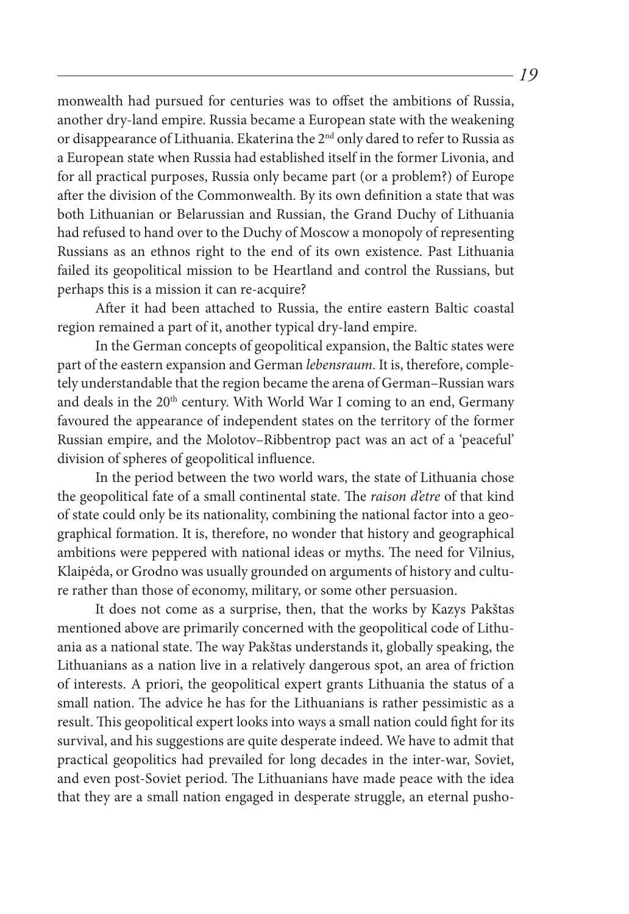monwealth had pursued for centuries was to offset the ambitions of Russia, another dry-land empire. Russia became a European state with the weakening or disappearance of Lithuania. Ekaterina the 2<sup>nd</sup> only dared to refer to Russia as a European state when Russia had established itself in the former Livonia, and for all practical purposes, Russia only became part (or a problem?) of Europe after the division of the Commonwealth. By its own definition a state that was both Lithuanian or Belarussian and Russian, the Grand Duchy of Lithuania had refused to hand over to the Duchy of Moscow a monopoly of representing Russians as an ethnos right to the end of its own existence. Past Lithuania failed its geopolitical mission to be Heartland and control the Russians, but perhaps this is a mission it can re-acquire?

After it had been attached to Russia, the entire eastern Baltic coastal region remained a part of it, another typical dry-land empire.

In the German concepts of geopolitical expansion, the Baltic states were part of the eastern expansion and German *lebensraum*. It is, therefore, completely understandable that the region became the arena of German–Russian wars and deals in the 20<sup>th</sup> century. With World War I coming to an end, Germany favoured the appearance of independent states on the territory of the former Russian empire, and the Molotov–Ribbentrop pact was an act of a 'peaceful' division of spheres of geopolitical influence.

In the period between the two world wars, the state of Lithuania chose the geopolitical fate of a small continental state. The *raison d'etre* of that kind of state could only be its nationality, combining the national factor into a geographical formation. It is, therefore, no wonder that history and geographical ambitions were peppered with national ideas or myths. The need for Vilnius, Klaipėda, or Grodno was usually grounded on arguments of history and culture rather than those of economy, military, or some other persuasion.

It does not come as a surprise, then, that the works by Kazys Pakštas mentioned above are primarily concerned with the geopolitical code of Lithuania as a national state. The way Pakštas understands it, globally speaking, the Lithuanians as a nation live in a relatively dangerous spot, an area of friction of interests. A priori, the geopolitical expert grants Lithuania the status of a small nation. The advice he has for the Lithuanians is rather pessimistic as a result. This geopolitical expert looks into ways a small nation could fight for its survival, and his suggestions are quite desperate indeed. We have to admit that practical geopolitics had prevailed for long decades in the inter-war, Soviet, and even post-Soviet period. The Lithuanians have made peace with the idea that they are a small nation engaged in desperate struggle, an eternal pusho-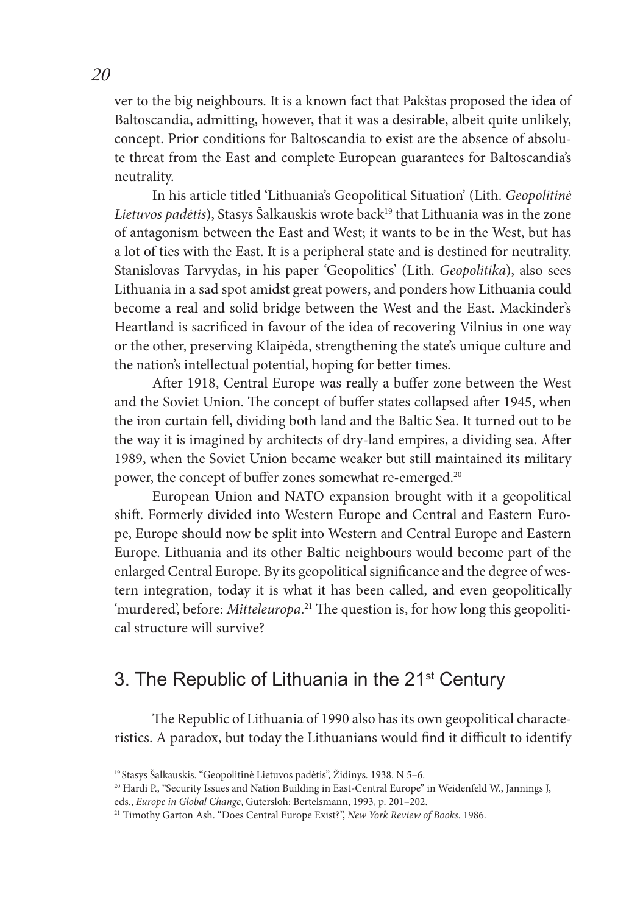ver to the big neighbours. It is a known fact that Pakštas proposed the idea of Baltoscandia, admitting, however, that it was a desirable, albeit quite unlikely, concept. Prior conditions for Baltoscandia to exist are the absence of absolute threat from the East and complete European guarantees for Baltoscandia's neutrality.

In his article titled 'Lithuania's Geopolitical Situation' (Lith. *Geopolitinė*  Lietuvos padėtis), Stasys Šalkauskis wrote back<sup>19</sup> that Lithuania was in the zone of antagonism between the East and West; it wants to be in the West, but has a lot of ties with the East. It is a peripheral state and is destined for neutrality. Stanislovas Tarvydas, in his paper 'Geopolitics' (Lith. *Geopolitika*), also sees Lithuania in a sad spot amidst great powers, and ponders how Lithuania could become a real and solid bridge between the West and the East. Mackinder's Heartland is sacrificed in favour of the idea of recovering Vilnius in one way or the other, preserving Klaipėda, strengthening the state's unique culture and the nation's intellectual potential, hoping for better times.

After 1918, Central Europe was really a buffer zone between the West and the Soviet Union. The concept of buffer states collapsed after 1945, when the iron curtain fell, dividing both land and the Baltic Sea. It turned out to be the way it is imagined by architects of dry-land empires, a dividing sea. After 1989, when the Soviet Union became weaker but still maintained its military power, the concept of buffer zones somewhat re-emerged.<sup>20</sup>

European Union and NATO expansion brought with it a geopolitical shift. Formerly divided into Western Europe and Central and Eastern Europe, Europe should now be split into Western and Central Europe and Eastern Europe. Lithuania and its other Baltic neighbours would become part of the enlarged Central Europe. By its geopolitical significance and the degree of western integration, today it is what it has been called, and even geopolitically 'murdered', before: *Mitteleuropa*. 21 The question is, for how long this geopolitical structure will survive?

### 3. The Republic of Lithuania in the 21<sup>st</sup> Century

The Republic of Lithuania of 1990 also has its own geopolitical characteristics. A paradox, but today the Lithuanians would find it difficult to identify

<sup>19</sup> Stasys Šalkauskis. "Geopolitinė Lietuvos padėtis", Židinys*.* 1938. N 5–6.

<sup>&</sup>lt;sup>20</sup> Hardi P., "Security Issues and Nation Building in East-Central Europe" in Weidenfeld W., Jannings J, eds., *Europe in Global Change*, Gutersloh: Bertelsmann, 1993, p. 201–202.

<sup>21</sup> Timothy Garton Ash. "Does Central Europe Exist?", *New York Review of Books*. 1986.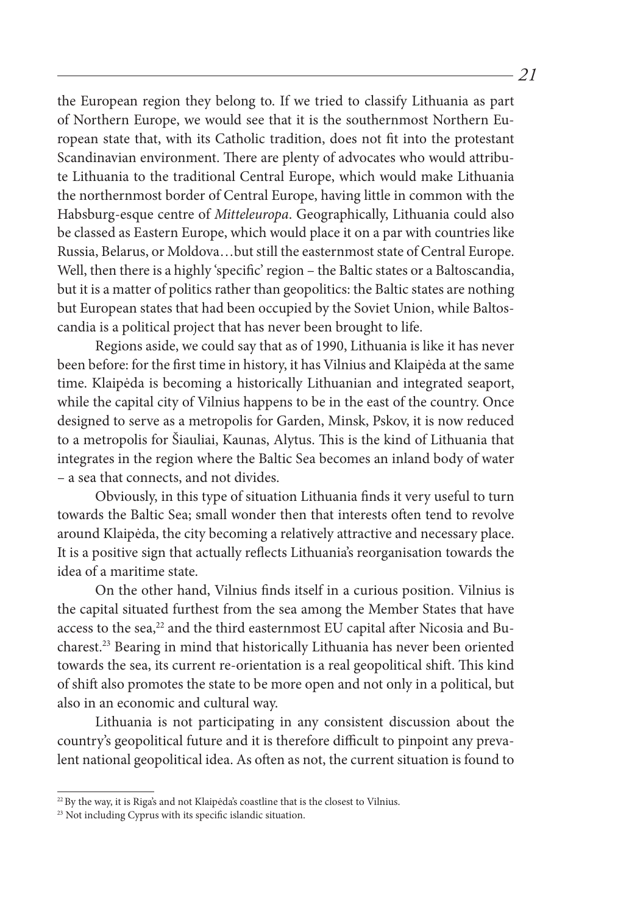the European region they belong to. If we tried to classify Lithuania as part of Northern Europe, we would see that it is the southernmost Northern European state that, with its Catholic tradition, does not fit into the protestant Scandinavian environment. There are plenty of advocates who would attribute Lithuania to the traditional Central Europe, which would make Lithuania the northernmost border of Central Europe, having little in common with the Habsburg-esque centre of *Mitteleuropa*. Geographically, Lithuania could also be classed as Eastern Europe, which would place it on a par with countries like Russia, Belarus, or Moldova…but still the easternmost state of Central Europe. Well, then there is a highly 'specific' region – the Baltic states or a Baltoscandia, but it is a matter of politics rather than geopolitics: the Baltic states are nothing but European states that had been occupied by the Soviet Union, while Baltoscandia is a political project that has never been brought to life.

Regions aside, we could say that as of 1990, Lithuania is like it has never been before: for the first time in history, it has Vilnius and Klaipėda at the same time. Klaipėda is becoming a historically Lithuanian and integrated seaport, while the capital city of Vilnius happens to be in the east of the country. Once designed to serve as a metropolis for Garden, Minsk, Pskov, it is now reduced to a metropolis for Šiauliai, Kaunas, Alytus. This is the kind of Lithuania that integrates in the region where the Baltic Sea becomes an inland body of water – a sea that connects, and not divides.

Obviously, in this type of situation Lithuania finds it very useful to turn towards the Baltic Sea; small wonder then that interests often tend to revolve around Klaipėda, the city becoming a relatively attractive and necessary place. It is a positive sign that actually reflects Lithuania's reorganisation towards the idea of a maritime state.

On the other hand, Vilnius finds itself in a curious position. Vilnius is the capital situated furthest from the sea among the Member States that have access to the sea,<sup>22</sup> and the third easternmost EU capital after Nicosia and Bucharest.23 Bearing in mind that historically Lithuania has never been oriented towards the sea, its current re-orientation is a real geopolitical shift. This kind of shift also promotes the state to be more open and not only in a political, but also in an economic and cultural way.

Lithuania is not participating in any consistent discussion about the country's geopolitical future and it is therefore difficult to pinpoint any prevalent national geopolitical idea. As often as not, the current situation is found to

<sup>&</sup>lt;sup>22</sup> By the way, it is Riga's and not Klaipėda's coastline that is the closest to Vilnius.

<sup>&</sup>lt;sup>23</sup> Not including Cyprus with its specific islandic situation.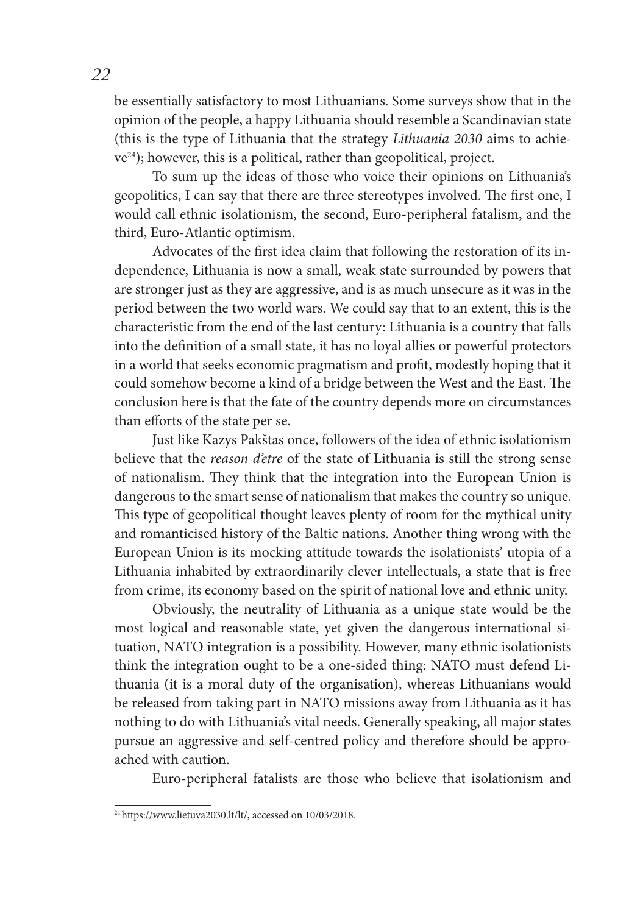be essentially satisfactory to most Lithuanians. Some surveys show that in the opinion of the people, a happy Lithuania should resemble a Scandinavian state (this is the type of Lithuania that the strategy *Lithuania 2030* aims to achieve24); however, this is a political, rather than geopolitical, project.

To sum up the ideas of those who voice their opinions on Lithuania's geopolitics, I can say that there are three stereotypes involved. The first one, I would call ethnic isolationism, the second, Euro-peripheral fatalism, and the third, Euro-Atlantic optimism.

Advocates of the first idea claim that following the restoration of its independence, Lithuania is now a small, weak state surrounded by powers that are stronger just as they are aggressive, and is as much unsecure as it was in the period between the two world wars. We could say that to an extent, this is the characteristic from the end of the last century: Lithuania is a country that falls into the definition of a small state, it has no loyal allies or powerful protectors in a world that seeks economic pragmatism and profit, modestly hoping that it could somehow become a kind of a bridge between the West and the East. The conclusion here is that the fate of the country depends more on circumstances than efforts of the state per se.

Just like Kazys Pakštas once, followers of the idea of ethnic isolationism believe that the *reason d'etre* of the state of Lithuania is still the strong sense of nationalism. They think that the integration into the European Union is dangerous to the smart sense of nationalism that makes the country so unique. This type of geopolitical thought leaves plenty of room for the mythical unity and romanticised history of the Baltic nations. Another thing wrong with the European Union is its mocking attitude towards the isolationists' utopia of a Lithuania inhabited by extraordinarily clever intellectuals, a state that is free from crime, its economy based on the spirit of national love and ethnic unity.

Obviously, the neutrality of Lithuania as a unique state would be the most logical and reasonable state, yet given the dangerous international situation, NATO integration is a possibility. However, many ethnic isolationists think the integration ought to be a one-sided thing: NATO must defend Lithuania (it is a moral duty of the organisation), whereas Lithuanians would be released from taking part in NATO missions away from Lithuania as it has nothing to do with Lithuania's vital needs. Generally speaking, all major states pursue an aggressive and self-centred policy and therefore should be approached with caution.

Euro-peripheral fatalists are those who believe that isolationism and

 $^{24}$ https://www.lietuva2030.lt/lt/, accessed on 10/03/2018.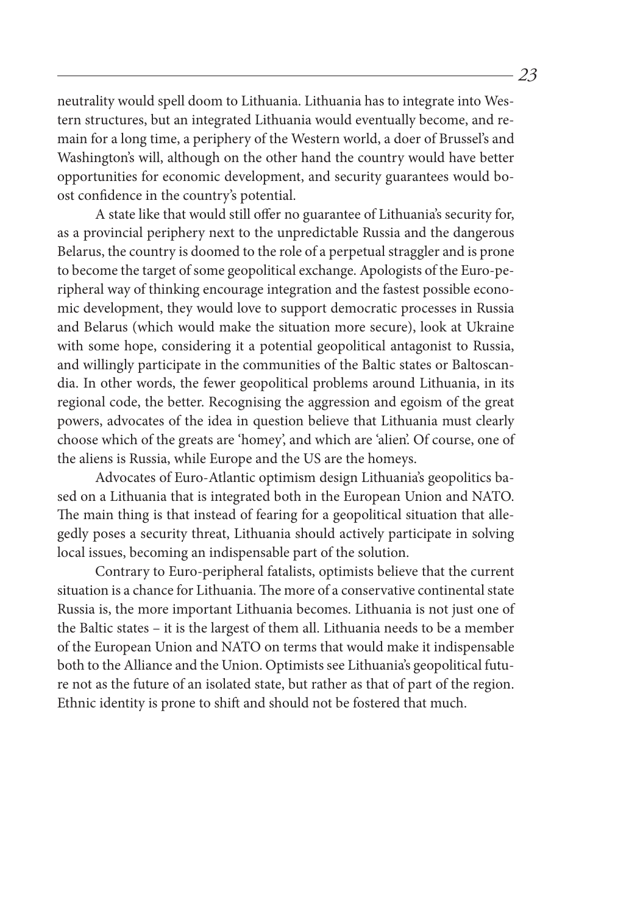neutrality would spell doom to Lithuania. Lithuania has to integrate into Western structures, but an integrated Lithuania would eventually become, and remain for a long time, a periphery of the Western world, a doer of Brussel's and Washington's will, although on the other hand the country would have better opportunities for economic development, and security guarantees would boost confidence in the country's potential.

A state like that would still offer no guarantee of Lithuania's security for, as a provincial periphery next to the unpredictable Russia and the dangerous Belarus, the country is doomed to the role of a perpetual straggler and is prone to become the target of some geopolitical exchange. Apologists of the Euro-peripheral way of thinking encourage integration and the fastest possible economic development, they would love to support democratic processes in Russia and Belarus (which would make the situation more secure), look at Ukraine with some hope, considering it a potential geopolitical antagonist to Russia, and willingly participate in the communities of the Baltic states or Baltoscandia. In other words, the fewer geopolitical problems around Lithuania, in its regional code, the better. Recognising the aggression and egoism of the great powers, advocates of the idea in question believe that Lithuania must clearly choose which of the greats are 'homey', and which are 'alien'. Of course, one of the aliens is Russia, while Europe and the US are the homeys.

Advocates of Euro-Atlantic optimism design Lithuania's geopolitics based on a Lithuania that is integrated both in the European Union and NATO. The main thing is that instead of fearing for a geopolitical situation that allegedly poses a security threat, Lithuania should actively participate in solving local issues, becoming an indispensable part of the solution.

Contrary to Euro-peripheral fatalists, optimists believe that the current situation is a chance for Lithuania. The more of a conservative continental state Russia is, the more important Lithuania becomes. Lithuania is not just one of the Baltic states – it is the largest of them all. Lithuania needs to be a member of the European Union and NATO on terms that would make it indispensable both to the Alliance and the Union. Optimists see Lithuania's geopolitical future not as the future of an isolated state, but rather as that of part of the region. Ethnic identity is prone to shift and should not be fostered that much.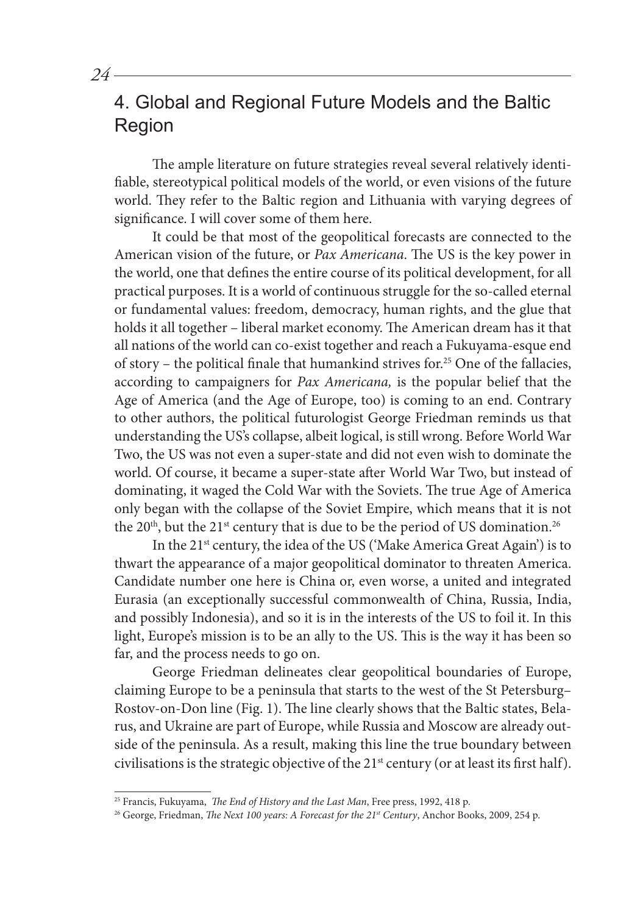4. Global and Regional Future Models and the Baltic Region

The ample literature on future strategies reveal several relatively identifiable, stereotypical political models of the world, or even visions of the future world. They refer to the Baltic region and Lithuania with varying degrees of significance. I will cover some of them here.

It could be that most of the geopolitical forecasts are connected to the American vision of the future, or *Pax Americana*. The US is the key power in the world, one that defines the entire course of its political development, for all practical purposes. It is a world of continuous struggle for the so-called eternal or fundamental values: freedom, democracy, human rights, and the glue that holds it all together – liberal market economy. The American dream has it that all nations of the world can co-exist together and reach a Fukuyama-esque end of story – the political finale that humankind strives for.<sup>25</sup> One of the fallacies, according to campaigners for *Pax Americana,* is the popular belief that the Age of America (and the Age of Europe, too) is coming to an end. Contrary to other authors, the political futurologist George Friedman reminds us that understanding the US's collapse, albeit logical, is still wrong. Before World War Two, the US was not even a super-state and did not even wish to dominate the world. Of course, it became a super-state after World War Two, but instead of dominating, it waged the Cold War with the Soviets. The true Age of America only began with the collapse of the Soviet Empire, which means that it is not the  $20<sup>th</sup>$ , but the  $21<sup>st</sup>$  century that is due to be the period of US domination.<sup>26</sup>

In the  $21<sup>st</sup>$  century, the idea of the US ('Make America Great Again') is to thwart the appearance of a major geopolitical dominator to threaten America. Candidate number one here is China or, even worse, a united and integrated Eurasia (an exceptionally successful commonwealth of China, Russia, India, and possibly Indonesia), and so it is in the interests of the US to foil it. In this light, Europe's mission is to be an ally to the US. This is the way it has been so far, and the process needs to go on.

George Friedman delineates clear geopolitical boundaries of Europe, claiming Europe to be a peninsula that starts to the west of the St Petersburg– Rostov-on-Don line (Fig. 1). The line clearly shows that the Baltic states, Belarus, and Ukraine are part of Europe, while Russia and Moscow are already outside of the peninsula. As a result, making this line the true boundary between civilisations is the strategic objective of the 21<sup>st</sup> century (or at least its first half).

<sup>25</sup> Francis, Fukuyama, *The End of History and the Last Man*, Free press, 1992, 418 p.

<sup>&</sup>lt;sup>26</sup> George, Friedman, *The Next 100 years: A Forecast for the 21<sup>st</sup> Century*, Anchor Books, 2009, 254 p.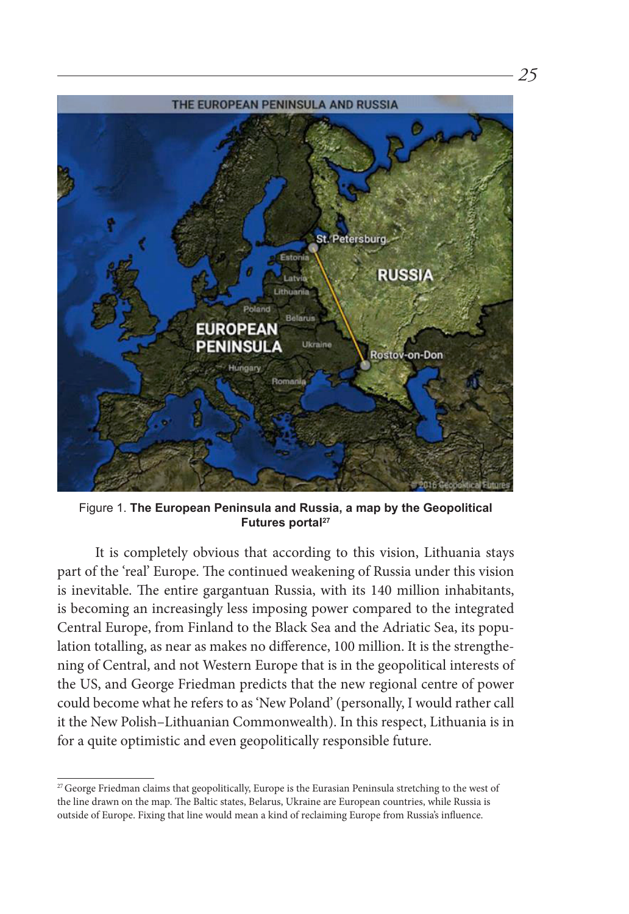

Figure 1. **The European Peninsula and Russia, a map by the Geopolitical**  Futures portal<sup>27</sup>

It is completely obvious that according to this vision, Lithuania stays part of the 'real' Europe. The continued weakening of Russia under this vision is inevitable. The entire gargantuan Russia, with its 140 million inhabitants, is becoming an increasingly less imposing power compared to the integrated Central Europe, from Finland to the Black Sea and the Adriatic Sea, its population totalling, as near as makes no difference, 100 million. It is the strengthening of Central, and not Western Europe that is in the geopolitical interests of the US, and George Friedman predicts that the new regional centre of power could become what he refers to as 'New Poland' (personally, I would rather call it the New Polish–Lithuanian Commonwealth). In this respect, Lithuania is in for a quite optimistic and even geopolitically responsible future.

<sup>&</sup>lt;sup>27</sup> George Friedman claims that geopolitically, Europe is the Eurasian Peninsula stretching to the west of the line drawn on the map. The Baltic states, Belarus, Ukraine are European countries, while Russia is outside of Europe. Fixing that line would mean a kind of reclaiming Europe from Russia's influence.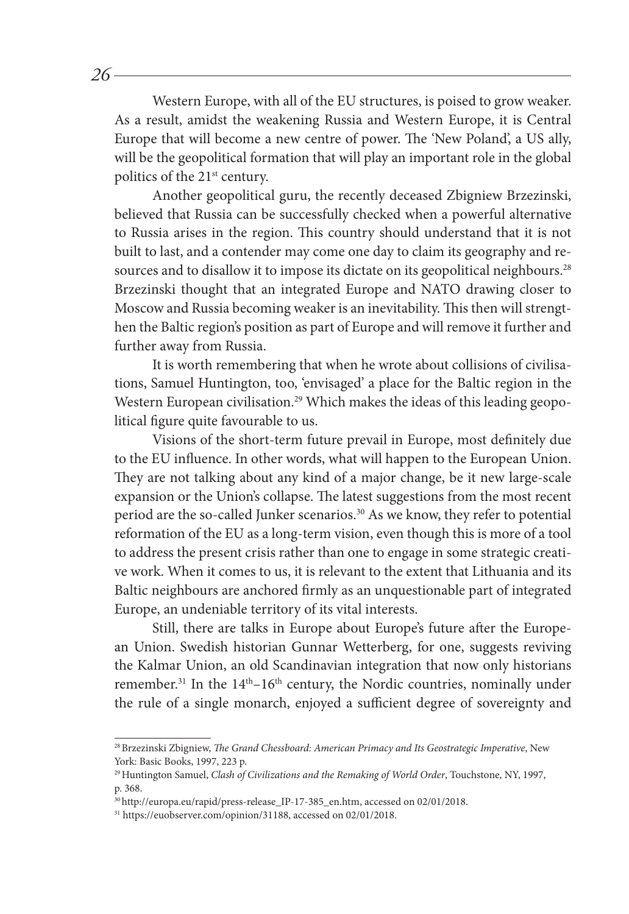Western Europe, with all of the EU structures, is poised to grow weaker. As a result, amidst the weakening Russia and Western Europe, it is Central Europe that will become a new centre of power. The 'New Poland', a US ally, will be the geopolitical formation that will play an important role in the global politics of the 21<sup>st</sup> century.

Another geopolitical guru, the recently deceased Zbigniew Brzezinski, believed that Russia can be successfully checked when a powerful alternative to Russia arises in the region. This country should understand that it is not built to last, and a contender may come one day to claim its geography and resources and to disallow it to impose its dictate on its geopolitical neighbours.<sup>28</sup> Brzezinski thought that an integrated Europe and NATO drawing closer to Moscow and Russia becoming weaker is an inevitability. This then will strengthen the Baltic region's position as part of Europe and will remove it further and further away from Russia.

It is worth remembering that when he wrote about collisions of civilisations, Samuel Huntington, too, 'envisaged' a place for the Baltic region in the Western European civilisation.<sup>29</sup> Which makes the ideas of this leading geopolitical figure quite favourable to us.

Visions of the short-term future prevail in Europe, most definitely due to the EU influence. In other words, what will happen to the European Union. They are not talking about any kind of a major change, be it new large-scale expansion or the Union's collapse. The latest suggestions from the most recent period are the so-called Junker scenarios.30 As we know, they refer to potential reformation of the EU as a long-term vision, even though this is more of a tool to address the present crisis rather than one to engage in some strategic creative work. When it comes to us, it is relevant to the extent that Lithuania and its Baltic neighbours are anchored firmly as an unquestionable part of integrated Europe, an undeniable territory of its vital interests.

Still, there are talks in Europe about Europe's future after the European Union. Swedish historian Gunnar Wetterberg, for one, suggests reviving the Kalmar Union, an old Scandinavian integration that now only historians remember.<sup>31</sup> In the  $14<sup>th</sup> - 16<sup>th</sup>$  century, the Nordic countries, nominally under the rule of a single monarch, enjoyed a sufficient degree of sovereignty and

<sup>28</sup>Brzezinski Zbigniew, *The Grand Chessboard: American Primacy and Its Geostrategic Imperative*, New York: Basic Books, 1997, 223 p.

<sup>29</sup>Huntington Samuel, *Clash of Civilizations and the Remaking of World Order*, Touchstone, NY, 1997, p. 368.

<sup>30</sup>http://europa.eu/rapid/press-release\_IP-17-385\_en.htm, accessed on 02/01/2018.

<sup>31</sup> https://euobserver.com/opinion/31188, accessed on 02/01/2018.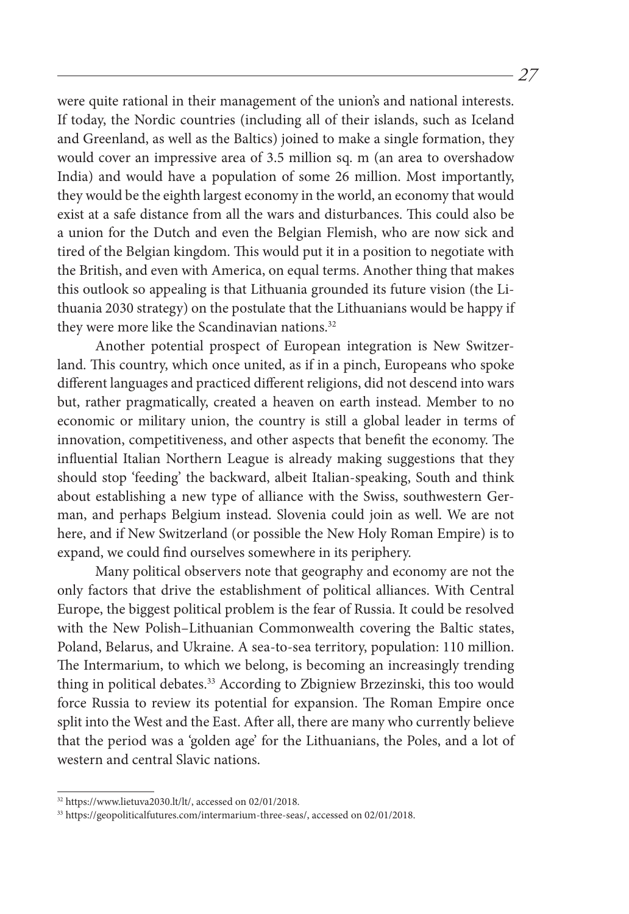were quite rational in their management of the union's and national interests. If today, the Nordic countries (including all of their islands, such as Iceland and Greenland, as well as the Baltics) joined to make a single formation, they would cover an impressive area of 3.5 million sq. m (an area to overshadow India) and would have a population of some 26 million. Most importantly, they would be the eighth largest economy in the world, an economy that would exist at a safe distance from all the wars and disturbances. This could also be a union for the Dutch and even the Belgian Flemish, who are now sick and tired of the Belgian kingdom. This would put it in a position to negotiate with the British, and even with America, on equal terms. Another thing that makes this outlook so appealing is that Lithuania grounded its future vision (the Lithuania 2030 strategy) on the postulate that the Lithuanians would be happy if they were more like the Scandinavian nations. $32$ 

Another potential prospect of European integration is New Switzerland. This country, which once united, as if in a pinch, Europeans who spoke different languages and practiced different religions, did not descend into wars but, rather pragmatically, created a heaven on earth instead. Member to no economic or military union, the country is still a global leader in terms of innovation, competitiveness, and other aspects that benefit the economy. The influential Italian Northern League is already making suggestions that they should stop 'feeding' the backward, albeit Italian-speaking, South and think about establishing a new type of alliance with the Swiss, southwestern German, and perhaps Belgium instead. Slovenia could join as well. We are not here, and if New Switzerland (or possible the New Holy Roman Empire) is to expand, we could find ourselves somewhere in its periphery.

Many political observers note that geography and economy are not the only factors that drive the establishment of political alliances. With Central Europe, the biggest political problem is the fear of Russia. It could be resolved with the New Polish–Lithuanian Commonwealth covering the Baltic states, Poland, Belarus, and Ukraine. A sea-to-sea territory, population: 110 million. The Intermarium, to which we belong, is becoming an increasingly trending thing in political debates.<sup>33</sup> According to Zbigniew Brzezinski, this too would force Russia to review its potential for expansion. The Roman Empire once split into the West and the East. After all, there are many who currently believe that the period was a 'golden age' for the Lithuanians, the Poles, and a lot of western and central Slavic nations.

<sup>32</sup> https://www.lietuva2030.lt/lt/, accessed on 02/01/2018.

<sup>33</sup> https://geopoliticalfutures.com/intermarium-three-seas/, accessed on 02/01/2018.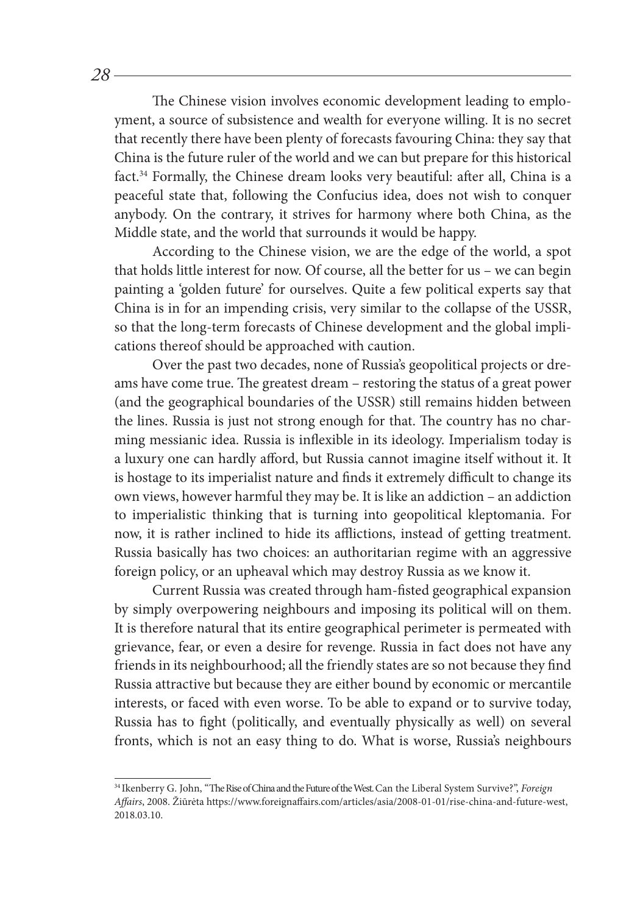The Chinese vision involves economic development leading to employment, a source of subsistence and wealth for everyone willing. It is no secret that recently there have been plenty of forecasts favouring China: they say that China is the future ruler of the world and we can but prepare for this historical fact.34 Formally, the Chinese dream looks very beautiful: after all, China is a peaceful state that, following the Confucius idea, does not wish to conquer anybody. On the contrary, it strives for harmony where both China, as the Middle state, and the world that surrounds it would be happy.

According to the Chinese vision, we are the edge of the world, a spot that holds little interest for now. Of course, all the better for us – we can begin painting a 'golden future' for ourselves. Quite a few political experts say that China is in for an impending crisis, very similar to the collapse of the USSR, so that the long-term forecasts of Chinese development and the global implications thereof should be approached with caution.

Over the past two decades, none of Russia's geopolitical projects or dreams have come true. The greatest dream – restoring the status of a great power (and the geographical boundaries of the USSR) still remains hidden between the lines. Russia is just not strong enough for that. The country has no charming messianic idea. Russia is inflexible in its ideology. Imperialism today is a luxury one can hardly afford, but Russia cannot imagine itself without it. It is hostage to its imperialist nature and finds it extremely difficult to change its own views, however harmful they may be. It is like an addiction – an addiction to imperialistic thinking that is turning into geopolitical kleptomania. For now, it is rather inclined to hide its afflictions, instead of getting treatment. Russia basically has two choices: an authoritarian regime with an aggressive foreign policy, or an upheaval which may destroy Russia as we know it.

Current Russia was created through ham-fisted geographical expansion by simply overpowering neighbours and imposing its political will on them. It is therefore natural that its entire geographical perimeter is permeated with grievance, fear, or even a desire for revenge. Russia in fact does not have any friends in its neighbourhood; all the friendly states are so not because they find Russia attractive but because they are either bound by economic or mercantile interests, or faced with even worse. To be able to expand or to survive today, Russia has to fight (politically, and eventually physically as well) on several fronts, which is not an easy thing to do. What is worse, Russia's neighbours

<sup>34</sup> Ikenberry G. John, "The Rise of China and the Future of the West. Can the Liberal System Survive?", *Foreign Affairs*, 2008. Žiūrėta https://www.foreignaffairs.com/articles/asia/2008-01-01/rise-china-and-future-west, 2018.03.10.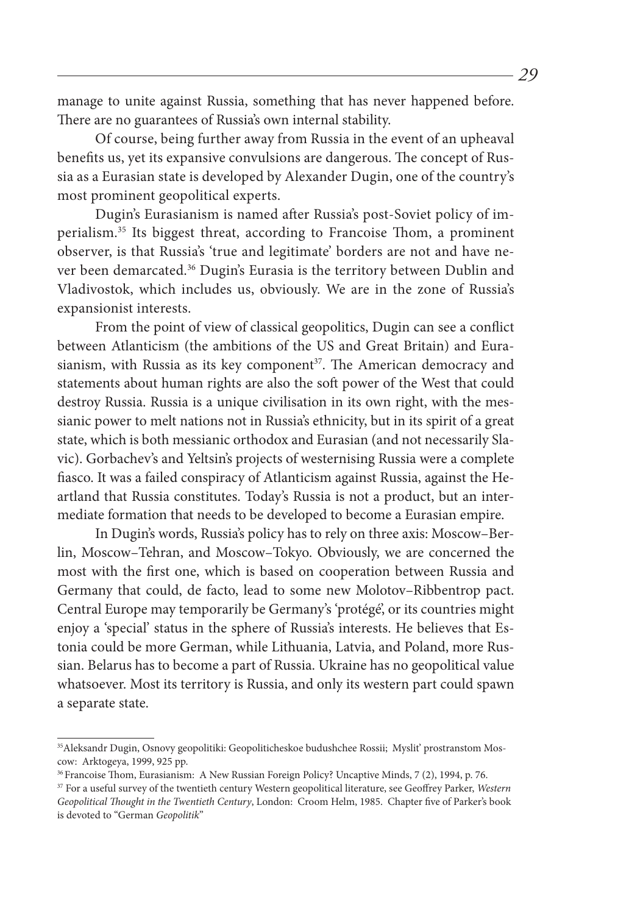manage to unite against Russia, something that has never happened before. There are no guarantees of Russia's own internal stability.

Of course, being further away from Russia in the event of an upheaval benefits us, yet its expansive convulsions are dangerous. The concept of Russia as a Eurasian state is developed by Alexander Dugin, one of the country's most prominent geopolitical experts.

Dugin's Eurasianism is named after Russia's post-Soviet policy of imperialism.35 Its biggest threat, according to Francoise Thom, a prominent observer, is that Russia's 'true and legitimate' borders are not and have never been demarcated.36 Dugin's Eurasia is the territory between Dublin and Vladivostok, which includes us, obviously. We are in the zone of Russia's expansionist interests.

From the point of view of classical geopolitics, Dugin can see a conflict between Atlanticism (the ambitions of the US and Great Britain) and Eurasianism, with Russia as its key component<sup>37</sup>. The American democracy and statements about human rights are also the soft power of the West that could destroy Russia. Russia is a unique civilisation in its own right, with the messianic power to melt nations not in Russia's ethnicity, but in its spirit of a great state, which is both messianic orthodox and Eurasian (and not necessarily Slavic). Gorbachev's and Yeltsin's projects of westernising Russia were a complete fiasco. It was a failed conspiracy of Atlanticism against Russia, against the Heartland that Russia constitutes. Today's Russia is not a product, but an intermediate formation that needs to be developed to become a Eurasian empire.

In Dugin's words, Russia's policy has to rely on three axis: Moscow–Berlin, Moscow–Tehran, and Moscow–Tokyo. Obviously, we are concerned the most with the first one, which is based on cooperation between Russia and Germany that could, de facto, lead to some new Molotov–Ribbentrop pact. Central Europe may temporarily be Germany's 'protégé', or its countries might enjoy a 'special' status in the sphere of Russia's interests. He believes that Estonia could be more German, while Lithuania, Latvia, and Poland, more Russian. Belarus has to become a part of Russia. Ukraine has no geopolitical value whatsoever. Most its territory is Russia, and only its western part could spawn a separate state.

<sup>35</sup>Aleksandr Dugin, Osnovy geopolitiki: Geopoliticheskoe budushchee Rossii;Myslit' prostranstom Moscow: Arktogeya, 1999, 925 pp.

<sup>&</sup>lt;sup>36</sup> Francoise Thom, Eurasianism: A New Russian Foreign Policy? Uncaptive Minds, 7 (2), 1994, p. 76.

<sup>37</sup> For a useful survey of the twentieth century Western geopolitical literature, see Geoffrey Parker, *Western Geopolitical Thought in the Twentieth Century*, London: Croom Helm, 1985. Chapter five of Parker's book is devoted to "German *Geopolitik*"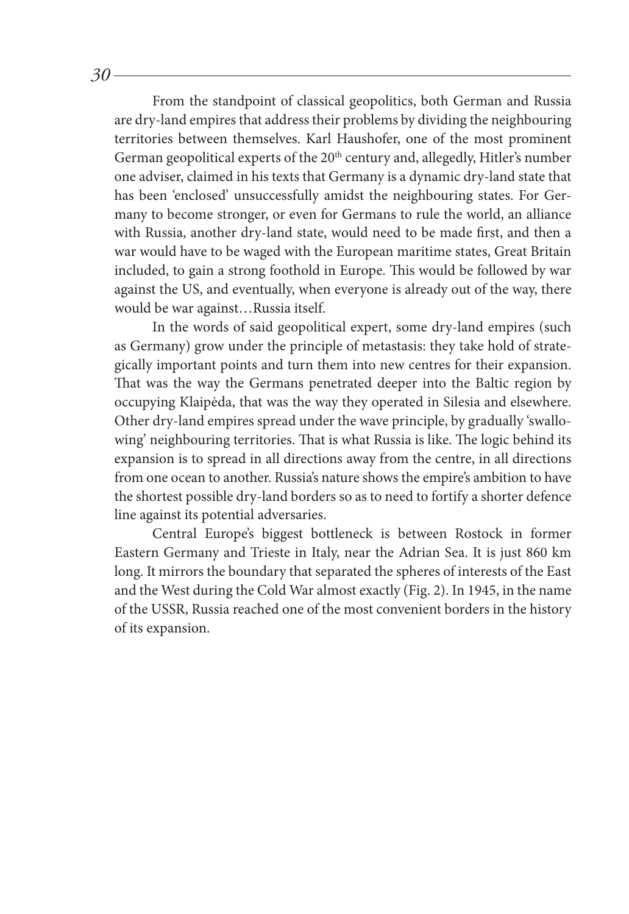From the standpoint of classical geopolitics, both German and Russia are dry-land empires that address their problems by dividing the neighbouring territories between themselves. Karl Haushofer, one of the most prominent German geopolitical experts of the 20<sup>th</sup> century and, allegedly, Hitler's number one adviser, claimed in his texts that Germany is a dynamic dry-land state that has been 'enclosed' unsuccessfully amidst the neighbouring states. For Germany to become stronger, or even for Germans to rule the world, an alliance with Russia, another dry-land state, would need to be made first, and then a war would have to be waged with the European maritime states, Great Britain included, to gain a strong foothold in Europe. This would be followed by war against the US, and eventually, when everyone is already out of the way, there would be war against…Russia itself.

In the words of said geopolitical expert, some dry-land empires (such as Germany) grow under the principle of metastasis: they take hold of strategically important points and turn them into new centres for their expansion. That was the way the Germans penetrated deeper into the Baltic region by occupying Klaipėda, that was the way they operated in Silesia and elsewhere. Other dry-land empires spread under the wave principle, by gradually 'swallowing' neighbouring territories. That is what Russia is like. The logic behind its expansion is to spread in all directions away from the centre, in all directions from one ocean to another. Russia's nature shows the empire's ambition to have the shortest possible dry-land borders so as to need to fortify a shorter defence line against its potential adversaries.

Central Europe's biggest bottleneck is between Rostock in former Eastern Germany and Trieste in Italy, near the Adrian Sea. It is just 860 km long. It mirrors the boundary that separated the spheres of interests of the East and the West during the Cold War almost exactly (Fig. 2). In 1945, in the name of the USSR, Russia reached one of the most convenient borders in the history of its expansion.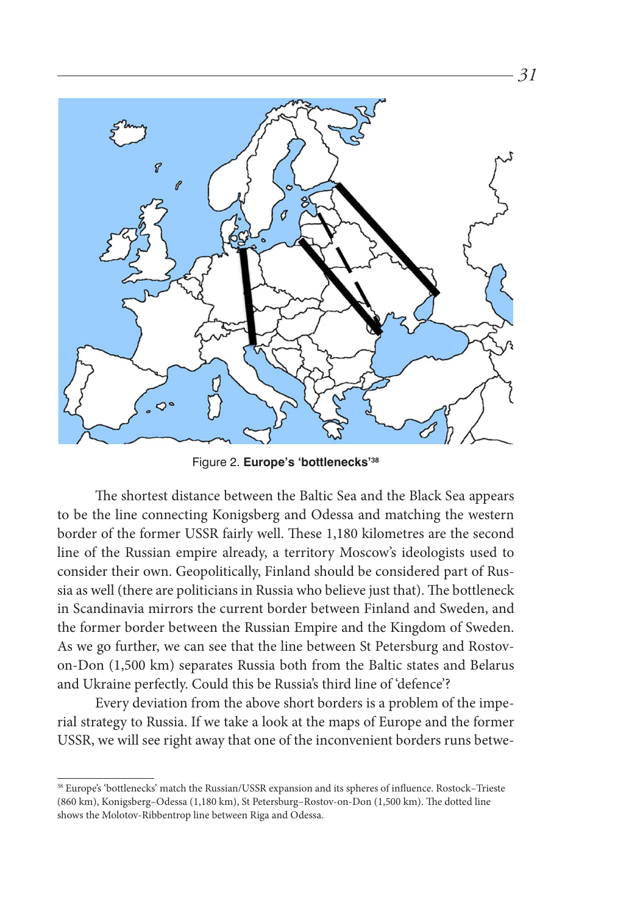

Figure 2. **Europe's 'bottlenecks'38**

The shortest distance between the Baltic Sea and the Black Sea appears to be the line connecting Konigsberg and Odessa and matching the western border of the former USSR fairly well. These 1,180 kilometres are the second line of the Russian empire already, a territory Moscow's ideologists used to consider their own. Geopolitically, Finland should be considered part of Russia as well (there are politicians in Russia who believe just that). The bottleneck in Scandinavia mirrors the current border between Finland and Sweden, and the former border between the Russian Empire and the Kingdom of Sweden. As we go further, we can see that the line between St Petersburg and Rostovon-Don (1,500 km) separates Russia both from the Baltic states and Belarus and Ukraine perfectly. Could this be Russia's third line of 'defence'?

Every deviation from the above short borders is a problem of the imperial strategy to Russia. If we take a look at the maps of Europe and the former USSR, we will see right away that one of the inconvenient borders runs betwe-

<sup>38</sup> Europe's 'bottlenecks' match the Russian/USSR expansion and its spheres of influence. Rostock–Trieste (860 km), Konigsberg–Odessa (1,180 km), St Petersburg–Rostov-on-Don (1,500 km). The dotted line shows the Molotov-Ribbentrop line between Riga and Odessa.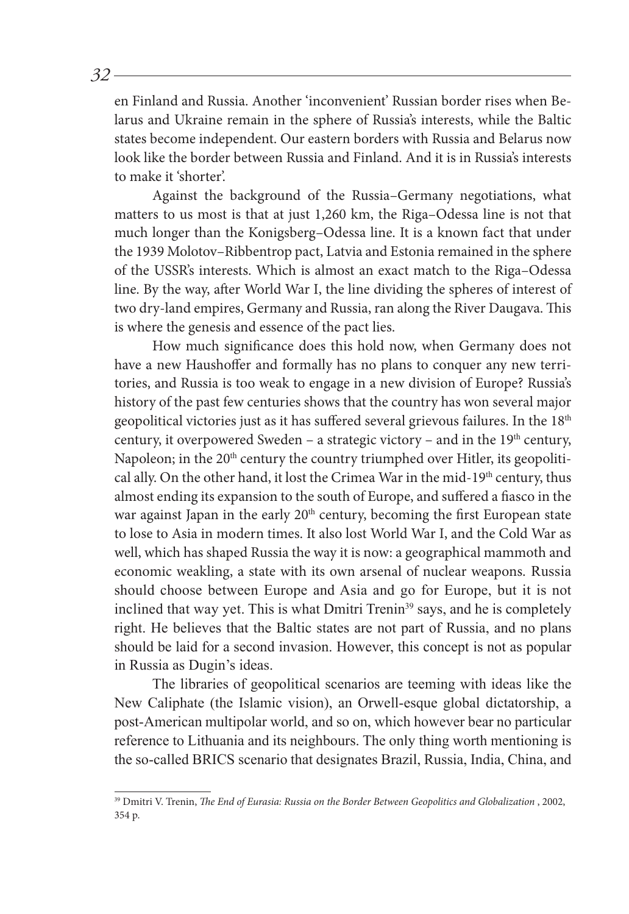en Finland and Russia. Another 'inconvenient' Russian border rises when Belarus and Ukraine remain in the sphere of Russia's interests, while the Baltic states become independent. Our eastern borders with Russia and Belarus now look like the border between Russia and Finland. And it is in Russia's interests to make it 'shorter'.

Against the background of the Russia–Germany negotiations, what matters to us most is that at just 1,260 km, the Riga–Odessa line is not that much longer than the Konigsberg–Odessa line. It is a known fact that under the 1939 Molotov–Ribbentrop pact, Latvia and Estonia remained in the sphere of the USSR's interests. Which is almost an exact match to the Riga–Odessa line. By the way, after World War I, the line dividing the spheres of interest of two dry-land empires, Germany and Russia, ran along the River Daugava. This is where the genesis and essence of the pact lies.

How much significance does this hold now, when Germany does not have a new Haushoffer and formally has no plans to conquer any new territories, and Russia is too weak to engage in a new division of Europe? Russia's history of the past few centuries shows that the country has won several major geopolitical victories just as it has suffered several grievous failures. In the 18<sup>th</sup> century, it overpowered Sweden – a strategic victory – and in the  $19<sup>th</sup>$  century, Napoleon; in the 20<sup>th</sup> century the country triumphed over Hitler, its geopolitical ally. On the other hand, it lost the Crimea War in the mid-19<sup>th</sup> century, thus almost ending its expansion to the south of Europe, and suffered a fiasco in the war against Japan in the early 20<sup>th</sup> century, becoming the first European state to lose to Asia in modern times. It also lost World War I, and the Cold War as well, which has shaped Russia the way it is now: a geographical mammoth and economic weakling, a state with its own arsenal of nuclear weapons. Russia should choose between Europe and Asia and go for Europe, but it is not inclined that way yet. This is what Dmitri Trenin<sup>39</sup> says, and he is completely right. He believes that the Baltic states are not part of Russia, and no plans should be laid for a second invasion. However, this concept is not as popular in Russia as Dugin's ideas.

The libraries of geopolitical scenarios are teeming with ideas like the New Caliphate (the Islamic vision), an Orwell-esque global dictatorship, a post-American multipolar world, and so on, which however bear no particular reference to Lithuania and its neighbours. The only thing worth mentioning is the so-called BRICS scenario that designates Brazil, Russia, India, China, and

<sup>39</sup> Dmitri V. Trenin, *The End of Eurasia: Russia on the Border Between Geopolitics and Globalization* , 2002, 354 p.